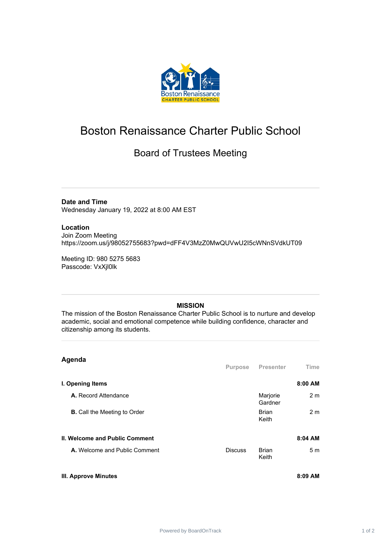

## Boston Renaissance Charter Public School

## Board of Trustees Meeting

**Date and Time**

Wednesday January 19, 2022 at 8:00 AM EST

## **Location**

Join Zoom Meeting https://zoom.us/j/98052755683?pwd=dFF4V3MzZ0MwQUVwU2I5cWNnSVdkUT09

Meeting ID: 980 5275 5683 Passcode: VxXjl0lk

## **MISSION**

The mission of the Boston Renaissance Charter Public School is to nurture and develop academic, social and emotional competence while building confidence, character and citizenship among its students.

| Agenda                                |                |                       |                |
|---------------------------------------|----------------|-----------------------|----------------|
|                                       | Purpose        | <b>Presenter</b>      | <b>Time</b>    |
| I. Opening Items                      |                |                       | 8:00 AM        |
| A. Record Attendance                  |                | Marjorie<br>Gardner   | 2 <sub>m</sub> |
| <b>B.</b> Call the Meeting to Order   |                | <b>Brian</b><br>Keith | 2 <sub>m</sub> |
| <b>II. Welcome and Public Comment</b> |                |                       | 8:04 AM        |
| A. Welcome and Public Comment         | <b>Discuss</b> | <b>Brian</b><br>Keith | 5m             |
| <b>III. Approve Minutes</b>           |                |                       | 8:09 AM        |